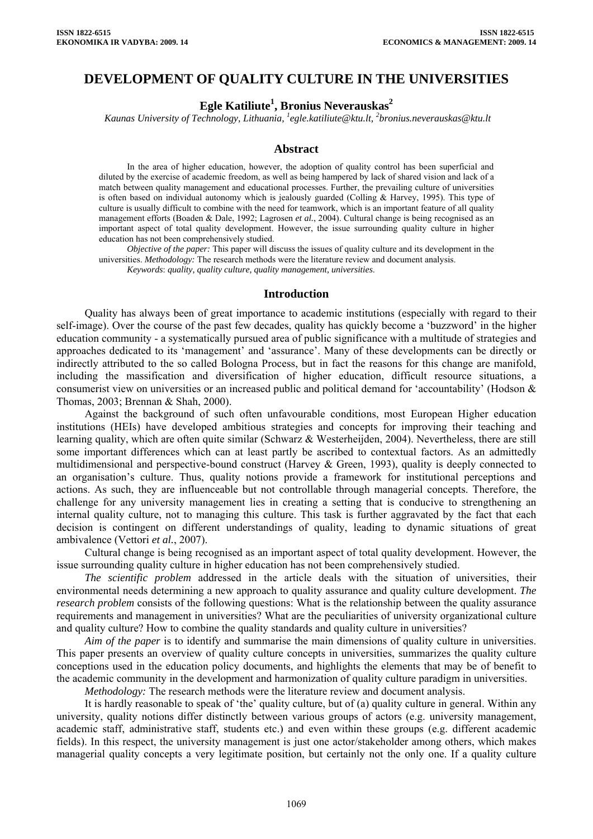# **DEVELOPMENT OF QUALITY CULTURE IN THE UNIVERSITIES**

# **Egle Katiliute<sup>1</sup> , Bronius Neverauskas2**

 *Kaunas University of Technology, Lithuania, 1 [egle.katiliute@ktu.lt,](mailto:egle.katiliute@ktu.lt) <sup>2</sup> [bronius.neverauskas@ktu.lt](mailto:bronius.neverauskas@ktu.lt)* 

#### **Abstract**

In the area of higher education, however, the adoption of quality control has been superficial and diluted by the exercise of academic freedom, as well as being hampered by lack of shared vision and lack of a match between quality management and educational processes. Further, the prevailing culture of universities is often based on individual autonomy which is jealously guarded (Colling & Harvey, 1995). This type of culture is usually difficult to combine with the need for teamwork, which is an important feature of all quality management efforts (Boaden & Dale, 1992; Lagrosen *et al.*, 2004). Cultural change is being recognised as an important aspect of total quality development. However, the issue surrounding quality culture in higher education has not been comprehensively studied.

*Objective of the paper:* This paper will discuss the issues of quality culture and its development in the universities. *Methodology:* The research methods were the literature review and document analysis.

*Keywords*: *quality, quality culture, quality management, universities*.

#### **Introduction**

Quality has always been of great importance to academic institutions (especially with regard to their self-image). Over the course of the past few decades, quality has quickly become a 'buzzword' in the higher education community - a systematically pursued area of public significance with a multitude of strategies and approaches dedicated to its 'management' and 'assurance'. Many of these developments can be directly or indirectly attributed to the so called Bologna Process, but in fact the reasons for this change are manifold, including the massification and diversification of higher education, difficult resource situations, a consumerist view on universities or an increased public and political demand for 'accountability' (Hodson & Thomas, 2003; Brennan & Shah, 2000).

Against the background of such often unfavourable conditions, most European Higher education institutions (HEIs) have developed ambitious strategies and concepts for improving their teaching and learning quality, which are often quite similar (Schwarz & Westerheijden, 2004). Nevertheless, there are still some important differences which can at least partly be ascribed to contextual factors. As an admittedly multidimensional and perspective-bound construct (Harvey & Green, 1993), quality is deeply connected to an organisation's culture. Thus, quality notions provide a framework for institutional perceptions and actions. As such, they are influenceable but not controllable through managerial concepts. Therefore, the challenge for any university management lies in creating a setting that is conducive to strengthening an internal quality culture, not to managing this culture. This task is further aggravated by the fact that each decision is contingent on different understandings of quality, leading to dynamic situations of great ambivalence (Vettori *et al.*, 2007).

Cultural change is being recognised as an important aspect of total quality development. However, the issue surrounding quality culture in higher education has not been comprehensively studied.

*The scientific problem* addressed in the article deals with the situation of universities, their environmental needs determining a new approach to quality assurance and quality culture development. *The research problem* consists of the following questions: What is the relationship between the quality assurance requirements and management in universities? What are the peculiarities of university organizational culture and quality culture? How to combine the quality standards and quality culture in universities?

*Aim of the paper* is to identify and summarise the main dimensions of quality culture in universities. This paper presents an overview of quality culture concepts in universities, summarizes the quality culture conceptions used in the education policy documents, and highlights the elements that may be of benefit to the academic community in the development and harmonization of quality culture paradigm in universities.

*Methodology:* The research methods were the literature review and document analysis.

It is hardly reasonable to speak of 'the' quality culture, but of (a) quality culture in general. Within any university, quality notions differ distinctly between various groups of actors (e.g. university management, academic staff, administrative staff, students etc.) and even within these groups (e.g. different academic fields). In this respect, the university management is just one actor/stakeholder among others, which makes managerial quality concepts a very legitimate position, but certainly not the only one. If a quality culture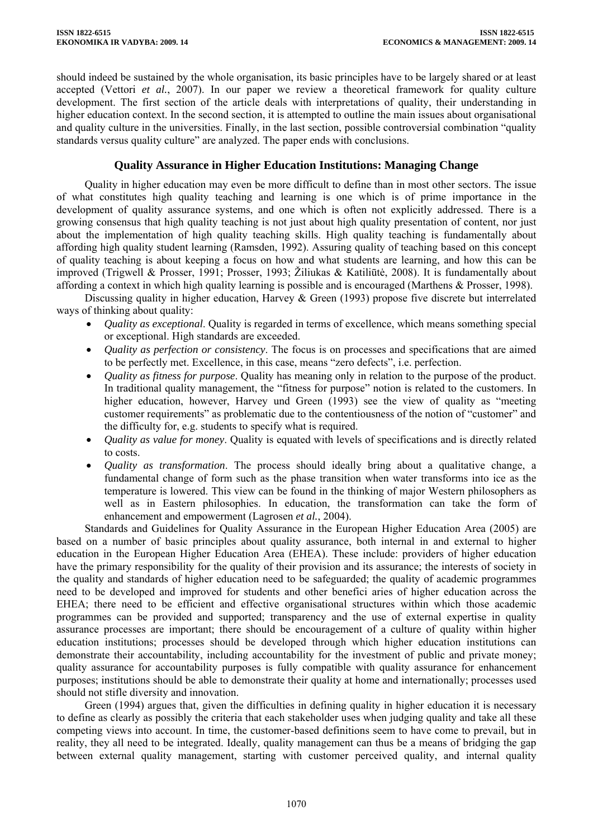should indeed be sustained by the whole organisation, its basic principles have to be largely shared or at least accepted (Vettori *et al.*, 2007). In our paper we review a theoretical framework for quality culture development. The first section of the article deals with interpretations of quality, their understanding in higher education context. In the second section, it is attempted to outline the main issues about organisational and quality culture in the universities. Finally, in the last section, possible controversial combination "quality standards versus quality culture" are analyzed. The paper ends with conclusions.

## **Quality Assurance in Higher Education Institutions: Managing Change**

Quality in higher education may even be more difficult to define than in most other sectors. The issue of what constitutes high quality teaching and learning is one which is of prime importance in the development of quality assurance systems, and one which is often not explicitly addressed. There is a growing consensus that high quality teaching is not just about high quality presentation of content, nor just about the implementation of high quality teaching skills. High quality teaching is fundamentally about affording high quality student learning (Ramsden, 1992). Assuring quality of teaching based on this concept of quality teaching is about keeping a focus on how and what students are learning, and how this can be improved (Trigwell & Prosser, 1991; Prosser, 1993; Žiliukas & Katiliūtė, 2008). It is fundamentally about affording a context in which high quality learning is possible and is encouraged (Marthens & Prosser, 1998).

Discussing quality in higher education, Harvey & Green (1993) propose five discrete but interrelated ways of thinking about quality:

- *Quality as exceptional*. Quality is regarded in terms of excellence, which means something special or exceptional. High standards are exceeded.
- *Quality as perfection or consistency*. The focus is on processes and specifications that are aimed to be perfectly met. Excellence, in this case, means "zero defects", i.e. perfection.
- *Quality as fitness for purpose*. Quality has meaning only in relation to the purpose of the product. In traditional quality management, the "fitness for purpose" notion is related to the customers. In higher education, however, Harvey und Green (1993) see the view of quality as "meeting customer requirements" as problematic due to the contentiousness of the notion of "customer" and the difficulty for, e.g. students to specify what is required.
- *Quality as value for money*. Quality is equated with levels of specifications and is directly related to costs.
- *Quality as transformation*. The process should ideally bring about a qualitative change, a fundamental change of form such as the phase transition when water transforms into ice as the temperature is lowered. This view can be found in the thinking of major Western philosophers as well as in Eastern philosophies. In education, the transformation can take the form of enhancement and empowerment (Lagrosen *et al.*, 2004).

Standards and Guidelines for Quality Assurance in the European Higher Education Area (2005) are based on a number of basic principles about quality assurance, both internal in and external to higher education in the European Higher Education Area (EHEA). These include: providers of higher education have the primary responsibility for the quality of their provision and its assurance; the interests of society in the quality and standards of higher education need to be safeguarded; the quality of academic programmes need to be developed and improved for students and other benefici aries of higher education across the EHEA; there need to be efficient and effective organisational structures within which those academic programmes can be provided and supported; transparency and the use of external expertise in quality assurance processes are important; there should be encouragement of a culture of quality within higher education institutions; processes should be developed through which higher education institutions can demonstrate their accountability, including accountability for the investment of public and private money; quality assurance for accountability purposes is fully compatible with quality assurance for enhancement purposes; institutions should be able to demonstrate their quality at home and internationally; processes used should not stifle diversity and innovation.

Green (1994) argues that, given the difficulties in defining quality in higher education it is necessary to define as clearly as possibly the criteria that each stakeholder uses when judging quality and take all these competing views into account. In time, the customer-based definitions seem to have come to prevail, but in reality, they all need to be integrated. Ideally, quality management can thus be a means of bridging the gap between external quality management, starting with customer perceived quality, and internal quality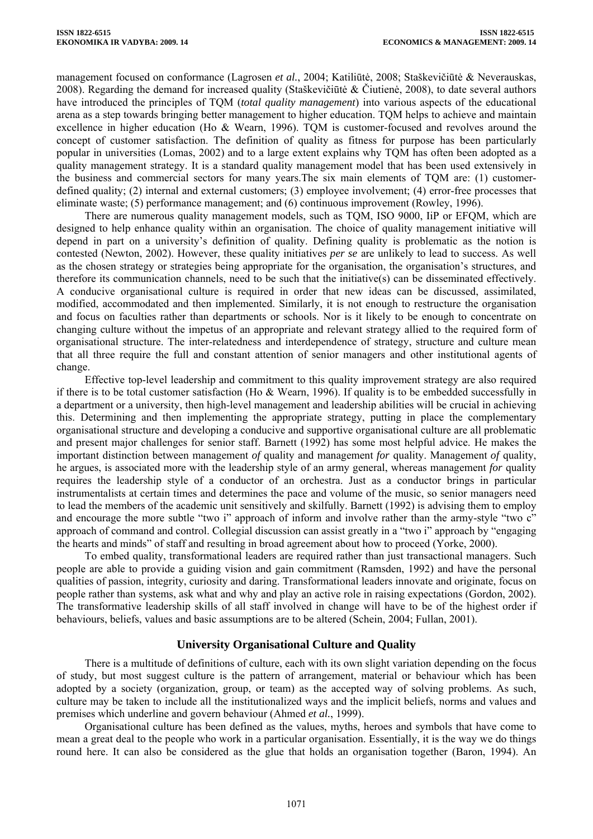management focused on conformance (Lagrosen *et al.*, 2004; Katiliūtė, 2008; Staškevičiūtė & Neverauskas, 2008). Regarding the demand for increased quality (Staškevičiūtė & Čiutienė, 2008), to date several authors have introduced the principles of TQM (*total quality management*) into various aspects of the educational arena as a step towards bringing better management to higher education. TQM helps to achieve and maintain excellence in higher education (Ho & Wearn, 1996). TQM is customer-focused and revolves around the concept of customer satisfaction. The definition of quality as fitness for purpose has been particularly popular in universities (Lomas, 2002) and to a large extent explains why TQM has often been adopted as a quality management strategy. It is a standard quality management model that has been used extensively in the business and commercial sectors for many years.The six main elements of TQM are: (1) customerdefined quality; (2) internal and external customers; (3) employee involvement; (4) error-free processes that eliminate waste; (5) performance management; and (6) continuous improvement (Rowley, 1996).

There are numerous quality management models, such as TQM, ISO 9000, IiP or EFQM, which are designed to help enhance quality within an organisation. The choice of quality management initiative will depend in part on a university's definition of quality. Defining quality is problematic as the notion is contested (Newton, 2002). However, these quality initiatives *per se* are unlikely to lead to success. As well as the chosen strategy or strategies being appropriate for the organisation, the organisation's structures, and therefore its communication channels, need to be such that the initiative(s) can be disseminated effectively. A conducive organisational culture is required in order that new ideas can be discussed, assimilated, modified, accommodated and then implemented. Similarly, it is not enough to restructure the organisation and focus on faculties rather than departments or schools. Nor is it likely to be enough to concentrate on changing culture without the impetus of an appropriate and relevant strategy allied to the required form of organisational structure. The inter-relatedness and interdependence of strategy, structure and culture mean that all three require the full and constant attention of senior managers and other institutional agents of change.

Effective top-level leadership and commitment to this quality improvement strategy are also required if there is to be total customer satisfaction (Ho & Wearn, 1996). If quality is to be embedded successfully in a department or a university, then high-level management and leadership abilities will be crucial in achieving this. Determining and then implementing the appropriate strategy, putting in place the complementary organisational structure and developing a conducive and supportive organisational culture are all problematic and present major challenges for senior staff. Barnett (1992) has some most helpful advice. He makes the important distinction between management *of* quality and management *for* quality. Management *of* quality, he argues, is associated more with the leadership style of an army general, whereas management *for* quality requires the leadership style of a conductor of an orchestra. Just as a conductor brings in particular instrumentalists at certain times and determines the pace and volume of the music, so senior managers need to lead the members of the academic unit sensitively and skilfully. Barnett (1992) is advising them to employ and encourage the more subtle "two i" approach of inform and involve rather than the army-style "two c" approach of command and control. Collegial discussion can assist greatly in a "two i" approach by "engaging the hearts and minds" of staff and resulting in broad agreement about how to proceed (Yorke, 2000).

To embed quality, transformational leaders are required rather than just transactional managers. Such people are able to provide a guiding vision and gain commitment (Ramsden, 1992) and have the personal qualities of passion, integrity, curiosity and daring. Transformational leaders innovate and originate, focus on people rather than systems, ask what and why and play an active role in raising expectations (Gordon, 2002). The transformative leadership skills of all staff involved in change will have to be of the highest order if behaviours, beliefs, values and basic assumptions are to be altered (Schein, 2004; Fullan, 2001).

## **University Organisational Culture and Quality**

There is a multitude of definitions of culture, each with its own slight variation depending on the focus of study, but most suggest culture is the pattern of arrangement, material or behaviour which has been adopted by a society (organization, group, or team) as the accepted way of solving problems. As such, culture may be taken to include all the institutionalized ways and the implicit beliefs, norms and values and premises which underline and govern behaviour (Ahmed *et al.*, 1999).

Organisational culture has been defined as the values, myths, heroes and symbols that have come to mean a great deal to the people who work in a particular organisation. Essentially, it is the way we do things round here. It can also be considered as the glue that holds an organisation together (Baron, 1994). An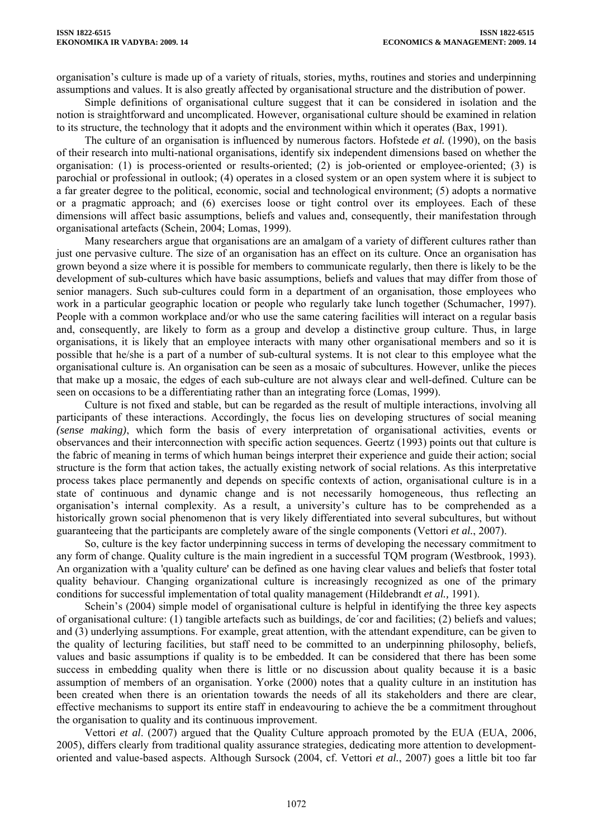organisation's culture is made up of a variety of rituals, stories, myths, routines and stories and underpinning assumptions and values. It is also greatly affected by organisational structure and the distribution of power.

Simple definitions of organisational culture suggest that it can be considered in isolation and the notion is straightforward and uncomplicated. However, organisational culture should be examined in relation to its structure, the technology that it adopts and the environment within which it operates (Bax, 1991).

The culture of an organisation is influenced by numerous factors. Hofstede *et al.* (1990), on the basis of their research into multi-national organisations, identify six independent dimensions based on whether the organisation: (1) is process-oriented or results-oriented; (2) is job-oriented or employee-oriented; (3) is parochial or professional in outlook; (4) operates in a closed system or an open system where it is subject to a far greater degree to the political, economic, social and technological environment; (5) adopts a normative or a pragmatic approach; and (6) exercises loose or tight control over its employees. Each of these dimensions will affect basic assumptions, beliefs and values and, consequently, their manifestation through organisational artefacts (Schein, 2004; Lomas, 1999).

Many researchers argue that organisations are an amalgam of a variety of different cultures rather than just one pervasive culture. The size of an organisation has an effect on its culture. Once an organisation has grown beyond a size where it is possible for members to communicate regularly, then there is likely to be the development of sub-cultures which have basic assumptions, beliefs and values that may differ from those of senior managers. Such sub-cultures could form in a department of an organisation, those employees who work in a particular geographic location or people who regularly take lunch together (Schumacher, 1997). People with a common workplace and/or who use the same catering facilities will interact on a regular basis and, consequently, are likely to form as a group and develop a distinctive group culture. Thus, in large organisations, it is likely that an employee interacts with many other organisational members and so it is possible that he/she is a part of a number of sub-cultural systems. It is not clear to this employee what the organisational culture is. An organisation can be seen as a mosaic of subcultures. However, unlike the pieces that make up a mosaic, the edges of each sub-culture are not always clear and well-defined. Culture can be seen on occasions to be a differentiating rather than an integrating force (Lomas, 1999).

Culture is not fixed and stable, but can be regarded as the result of multiple interactions, involving all participants of these interactions. Accordingly, the focus lies on developing structures of social meaning *(sense making)*, which form the basis of every interpretation of organisational activities, events or observances and their interconnection with specific action sequences. Geertz (1993) points out that culture is the fabric of meaning in terms of which human beings interpret their experience and guide their action; social structure is the form that action takes, the actually existing network of social relations. As this interpretative process takes place permanently and depends on specific contexts of action, organisational culture is in a state of continuous and dynamic change and is not necessarily homogeneous, thus reflecting an organisation's internal complexity. As a result, a university's culture has to be comprehended as a historically grown social phenomenon that is very likely differentiated into several subcultures, but without guaranteeing that the participants are completely aware of the single components (Vettori *et al.*, 2007).

So, culture is the key factor underpinning success in terms of developing the necessary commitment to any form of change. Quality culture is the main ingredient in a successful TQM program (Westbrook, 1993). An organization with a 'quality culture' can be defined as one having clear values and beliefs that foster total quality behaviour. Changing organizational culture is increasingly recognized as one of the primary conditions for successful implementation of total quality management (Hildebrandt *et al.,* 1991).

Schein's (2004) simple model of organisational culture is helpful in identifying the three key aspects of organisational culture: (1) tangible artefacts such as buildings, de´cor and facilities; (2) beliefs and values; and (3) underlying assumptions. For example, great attention, with the attendant expenditure, can be given to the quality of lecturing facilities, but staff need to be committed to an underpinning philosophy, beliefs, values and basic assumptions if quality is to be embedded. It can be considered that there has been some success in embedding quality when there is little or no discussion about quality because it is a basic assumption of members of an organisation. Yorke (2000) notes that a quality culture in an institution has been created when there is an orientation towards the needs of all its stakeholders and there are clear, effective mechanisms to support its entire staff in endeavouring to achieve the be a commitment throughout the organisation to quality and its continuous improvement.

Vettori *et al*. (2007) argued that the Quality Culture approach promoted by the EUA (EUA, 2006, 2005), differs clearly from traditional quality assurance strategies, dedicating more attention to developmentoriented and value-based aspects. Although Sursock (2004, cf. Vettori *et al.*, 2007) goes a little bit too far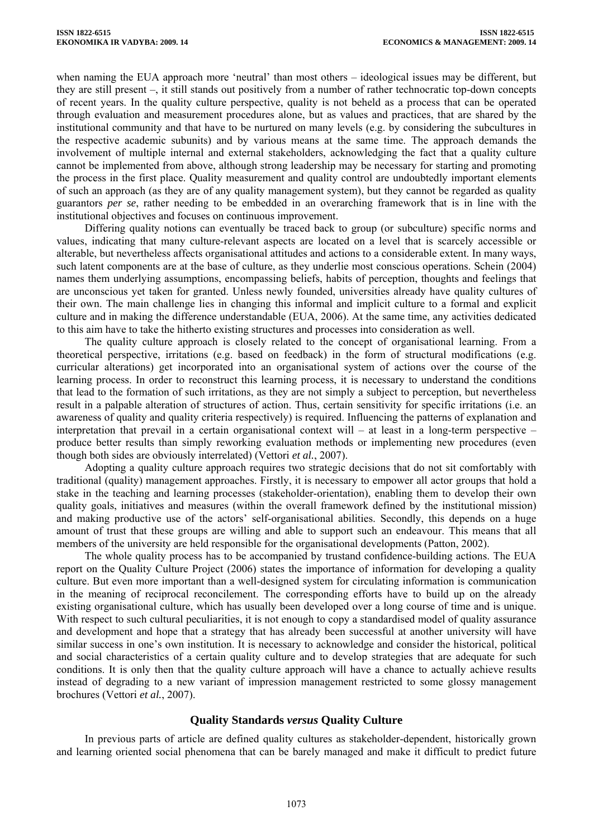when naming the EUA approach more 'neutral' than most others – ideological issues may be different, but they are still present –, it still stands out positively from a number of rather technocratic top-down concepts of recent years. In the quality culture perspective, quality is not beheld as a process that can be operated through evaluation and measurement procedures alone, but as values and practices, that are shared by the institutional community and that have to be nurtured on many levels (e.g. by considering the subcultures in the respective academic subunits) and by various means at the same time. The approach demands the involvement of multiple internal and external stakeholders, acknowledging the fact that a quality culture cannot be implemented from above, although strong leadership may be necessary for starting and promoting the process in the first place. Quality measurement and quality control are undoubtedly important elements of such an approach (as they are of any quality management system), but they cannot be regarded as quality guarantors *per se*, rather needing to be embedded in an overarching framework that is in line with the institutional objectives and focuses on continuous improvement.

Differing quality notions can eventually be traced back to group (or subculture) specific norms and values, indicating that many culture-relevant aspects are located on a level that is scarcely accessible or alterable, but nevertheless affects organisational attitudes and actions to a considerable extent. In many ways, such latent components are at the base of culture, as they underlie most conscious operations. Schein (2004) names them underlying assumptions, encompassing beliefs, habits of perception, thoughts and feelings that are unconscious yet taken for granted. Unless newly founded, universities already have quality cultures of their own. The main challenge lies in changing this informal and implicit culture to a formal and explicit culture and in making the difference understandable (EUA, 2006). At the same time, any activities dedicated to this aim have to take the hitherto existing structures and processes into consideration as well.

The quality culture approach is closely related to the concept of organisational learning. From a theoretical perspective, irritations (e.g. based on feedback) in the form of structural modifications (e.g. curricular alterations) get incorporated into an organisational system of actions over the course of the learning process. In order to reconstruct this learning process, it is necessary to understand the conditions that lead to the formation of such irritations, as they are not simply a subject to perception, but nevertheless result in a palpable alteration of structures of action. Thus, certain sensitivity for specific irritations (i.e. an awareness of quality and quality criteria respectively) is required. Influencing the patterns of explanation and interpretation that prevail in a certain organisational context will – at least in a long-term perspective – produce better results than simply reworking evaluation methods or implementing new procedures (even though both sides are obviously interrelated) (Vettori *et al.*, 2007).

Adopting a quality culture approach requires two strategic decisions that do not sit comfortably with traditional (quality) management approaches. Firstly, it is necessary to empower all actor groups that hold a stake in the teaching and learning processes (stakeholder-orientation), enabling them to develop their own quality goals, initiatives and measures (within the overall framework defined by the institutional mission) and making productive use of the actors' self-organisational abilities. Secondly, this depends on a huge amount of trust that these groups are willing and able to support such an endeavour. This means that all members of the university are held responsible for the organisational developments (Patton, 2002).

The whole quality process has to be accompanied by trustand confidence-building actions. The EUA report on the Quality Culture Project (2006) states the importance of information for developing a quality culture. But even more important than a well-designed system for circulating information is communication in the meaning of reciprocal reconcilement. The corresponding efforts have to build up on the already existing organisational culture, which has usually been developed over a long course of time and is unique. With respect to such cultural peculiarities, it is not enough to copy a standardised model of quality assurance and development and hope that a strategy that has already been successful at another university will have similar success in one's own institution. It is necessary to acknowledge and consider the historical, political and social characteristics of a certain quality culture and to develop strategies that are adequate for such conditions. It is only then that the quality culture approach will have a chance to actually achieve results instead of degrading to a new variant of impression management restricted to some glossy management brochures (Vettori *et al.*, 2007).

## **Quality Standards** *versus* **Quality Culture**

In previous parts of article are defined quality cultures as stakeholder-dependent, historically grown and learning oriented social phenomena that can be barely managed and make it difficult to predict future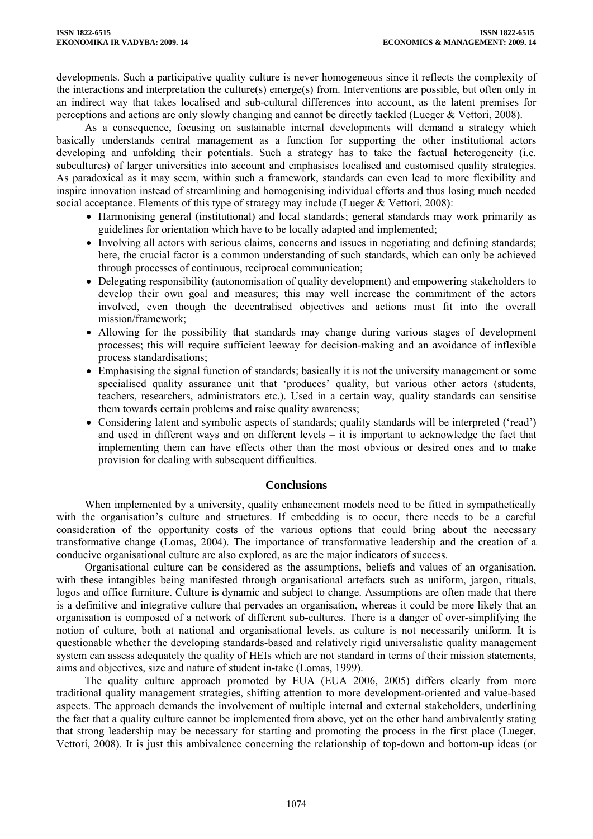developments. Such a participative quality culture is never homogeneous since it reflects the complexity of the interactions and interpretation the culture(s) emerge(s) from. Interventions are possible, but often only in an indirect way that takes localised and sub-cultural differences into account, as the latent premises for perceptions and actions are only slowly changing and cannot be directly tackled (Lueger & Vettori, 2008).

As a consequence, focusing on sustainable internal developments will demand a strategy which basically understands central management as a function for supporting the other institutional actors developing and unfolding their potentials. Such a strategy has to take the factual heterogeneity (i.e. subcultures) of larger universities into account and emphasises localised and customised quality strategies. As paradoxical as it may seem, within such a framework, standards can even lead to more flexibility and inspire innovation instead of streamlining and homogenising individual efforts and thus losing much needed social acceptance. Elements of this type of strategy may include (Lueger & Vettori, 2008):

- Harmonising general (institutional) and local standards; general standards may work primarily as guidelines for orientation which have to be locally adapted and implemented;
- Involving all actors with serious claims, concerns and issues in negotiating and defining standards; here, the crucial factor is a common understanding of such standards, which can only be achieved through processes of continuous, reciprocal communication;
- Delegating responsibility (autonomisation of quality development) and empowering stakeholders to develop their own goal and measures; this may well increase the commitment of the actors involved, even though the decentralised objectives and actions must fit into the overall mission/framework;
- Allowing for the possibility that standards may change during various stages of development processes; this will require sufficient leeway for decision-making and an avoidance of inflexible process standardisations;
- Emphasising the signal function of standards; basically it is not the university management or some specialised quality assurance unit that 'produces' quality, but various other actors (students, teachers, researchers, administrators etc.). Used in a certain way, quality standards can sensitise them towards certain problems and raise quality awareness;
- Considering latent and symbolic aspects of standards; quality standards will be interpreted ('read') and used in different ways and on different levels – it is important to acknowledge the fact that implementing them can have effects other than the most obvious or desired ones and to make provision for dealing with subsequent difficulties.

### **Conclusions**

When implemented by a university, quality enhancement models need to be fitted in sympathetically with the organisation's culture and structures. If embedding is to occur, there needs to be a careful consideration of the opportunity costs of the various options that could bring about the necessary transformative change (Lomas, 2004). The importance of transformative leadership and the creation of a conducive organisational culture are also explored, as are the major indicators of success.

Organisational culture can be considered as the assumptions, beliefs and values of an organisation, with these intangibles being manifested through organisational artefacts such as uniform, jargon, rituals, logos and office furniture. Culture is dynamic and subject to change. Assumptions are often made that there is a definitive and integrative culture that pervades an organisation, whereas it could be more likely that an organisation is composed of a network of different sub-cultures. There is a danger of over-simplifying the notion of culture, both at national and organisational levels, as culture is not necessarily uniform. It is questionable whether the developing standards-based and relatively rigid universalistic quality management system can assess adequately the quality of HEIs which are not standard in terms of their mission statements, aims and objectives, size and nature of student in-take (Lomas, 1999).

The quality culture approach promoted by EUA (EUA 2006, 2005) differs clearly from more traditional quality management strategies, shifting attention to more development-oriented and value-based aspects. The approach demands the involvement of multiple internal and external stakeholders, underlining the fact that a quality culture cannot be implemented from above, yet on the other hand ambivalently stating that strong leadership may be necessary for starting and promoting the process in the first place (Lueger, Vettori, 2008). It is just this ambivalence concerning the relationship of top-down and bottom-up ideas (or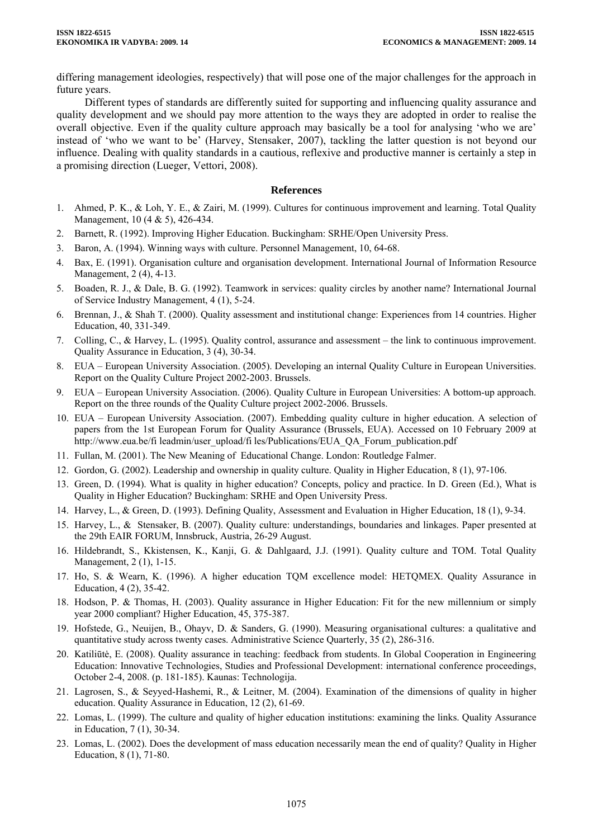differing management ideologies, respectively) that will pose one of the major challenges for the approach in future years.

Different types of standards are differently suited for supporting and influencing quality assurance and quality development and we should pay more attention to the ways they are adopted in order to realise the overall objective. Even if the quality culture approach may basically be a tool for analysing 'who we are' instead of 'who we want to be' (Harvey, Stensaker, 2007), tackling the latter question is not beyond our influence. Dealing with quality standards in a cautious, reflexive and productive manner is certainly a step in a promising direction (Lueger, Vettori, 2008).

#### **References**

- 1. Ahmed, P. K., & Loh, Y. E., & Zairi, M. (1999). Cultures for continuous improvement and learning. Total Quality Management, 10 (4 & 5), 426-434.
- 2. Barnett, R. (1992). Improving Higher Education. Buckingham: SRHE/Open University Press.
- 3. Baron, A. (1994). Winning ways with culture. Personnel Management, 10, 64-68.
- 4. Bax, E. (1991). Organisation culture and organisation development. International Journal of Information Resource Management, 2 (4), 4-13.
- 5. Boaden, R. J., & Dale, B. G. (1992). Teamwork in services: quality circles by another name? International Journal of Service Industry Management, 4 (1), 5-24.
- 6. Brennan, J., & Shah T. (2000). Quality assessment and institutional change: Experiences from 14 countries. Higher Education, 40, 331-349.
- 7. Colling, C., & Harvey, L. (1995). Quality control, assurance and assessment the link to continuous improvement. Quality Assurance in Education, 3 (4), 30-34.
- 8. EUA European University Association. (2005). Developing an internal Quality Culture in European Universities. Report on the Quality Culture Project 2002-2003. Brussels.
- 9. EUA European University Association. (2006). Quality Culture in European Universities: A bottom-up approach. Report on the three rounds of the Quality Culture project 2002-2006. Brussels.
- 10. EUA European University Association. (2007). Embedding quality culture in higher education. A selection of papers from the 1st European Forum for Quality Assurance (Brussels, EUA). Accessed on 10 February 2009 at [http://www.eua.be/fi leadmin/user\\_upload/fi les/Publications/EUA\\_QA\\_Forum\\_publication.pdf](http://www.eua.be/fi%20leadmin/user_upload/fi%20les/Publications/EUA_QA_Forum_publication.pdf)
- 11. Fullan, M. (2001). The New Meaning of Educational Change. London: Routledge Falmer.
- 12. Gordon, G. (2002). Leadership and ownership in quality culture. Quality in Higher Education, 8 (1), 97-106.
- 13. Green, D. (1994). What is quality in higher education? Concepts, policy and practice. In D. Green (Ed.), What is Quality in Higher Education? Buckingham: SRHE and Open University Press.
- 14. Harvey, L., & Green, D. (1993). Defining Quality, Assessment and Evaluation in Higher Education, 18 (1), 9-34.
- 15. Harvey, L., & Stensaker, B. (2007). Quality culture: understandings, boundaries and linkages. Paper presented at the 29th EAIR FORUM, Innsbruck, Austria, 26-29 August.
- 16. Hildebrandt, S., Kkistensen, K., Kanji, G. & Dahlgaard, J.J. (1991). Quality culture and TOM. Total Quality Management, 2 (1), 1-15.
- 17. Ho, S. & Wearn, K. (1996). A higher education TQM excellence model: HETQMEX. Quality Assurance in Education, 4 (2), 35-42.
- 18. Hodson, P. & Thomas, H. (2003). Quality assurance in Higher Education: Fit for the new millennium or simply year 2000 compliant? Higher Education, 45, 375-387.
- 19. Hofstede, G., Neuijen, B., Ohayv, D. & Sanders, G. (1990). Measuring organisational cultures: a qualitative and quantitative study across twenty cases. Administrative Science Quarterly, 35 (2), 286-316.
- 20. Katiliūtė, E. (2008). Quality assurance in teaching: feedback from students. In Global Cooperation in Engineering Education: Innovative Technologies, Studies and Professional Development: international conference proceedings, October 2-4, 2008. (p. 181-185). Kaunas: Technologija.
- 21. Lagrosen, S., & Seyyed-Hashemi, R., & Leitner, M. (2004). Examination of the dimensions of quality in higher education. Quality Assurance in Education, 12 (2), 61-69.
- 22. Lomas, L. (1999). The culture and quality of higher education institutions: examining the links. Quality Assurance in Education, 7 (1), 30-34.
- 23. Lomas, L. (2002). Does the development of mass education necessarily mean the end of quality? Quality in Higher Education, 8 (1), 71-80.